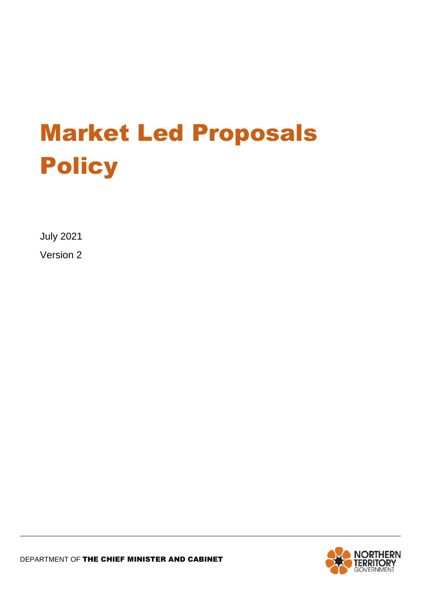# Market Led Proposals **Policy**

July 2021

Version 2

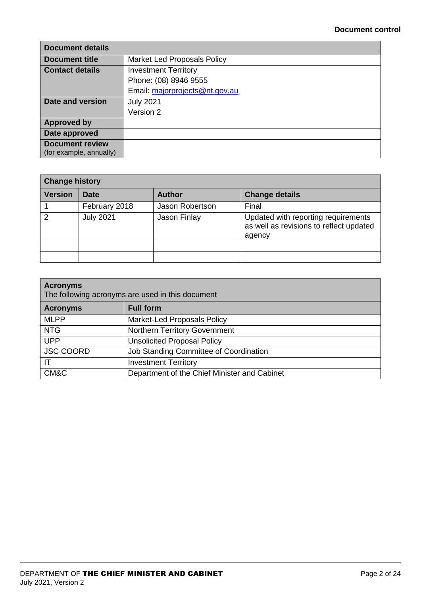| <b>Document details</b>                           |                                    |
|---------------------------------------------------|------------------------------------|
| <b>Document title</b>                             | <b>Market Led Proposals Policy</b> |
| <b>Contact details</b>                            | <b>Investment Territory</b>        |
|                                                   | Phone: (08) 8946 9555              |
|                                                   | Email: majorprojects@nt.gov.au     |
| Date and version                                  | <b>July 2021</b>                   |
|                                                   | Version 2                          |
| <b>Approved by</b>                                |                                    |
| Date approved                                     |                                    |
| <b>Document review</b><br>(for example, annually) |                                    |

| <b>Change history</b> |                  |                 |                                                                                          |
|-----------------------|------------------|-----------------|------------------------------------------------------------------------------------------|
| <b>Version</b>        | <b>Date</b>      | <b>Author</b>   | <b>Change details</b>                                                                    |
|                       | February 2018    | Jason Robertson | Final                                                                                    |
| 2                     | <b>July 2021</b> | Jason Finlay    | Updated with reporting requirements<br>as well as revisions to reflect updated<br>agency |
|                       |                  |                 |                                                                                          |
|                       |                  |                 |                                                                                          |

| <b>Acronyms</b><br>The following acronyms are used in this document |                                              |  |
|---------------------------------------------------------------------|----------------------------------------------|--|
| <b>Acronyms</b>                                                     | <b>Full form</b>                             |  |
| <b>MLPP</b>                                                         | <b>Market-Led Proposals Policy</b>           |  |
| <b>NTG</b>                                                          | Northern Territory Government                |  |
| <b>UPP</b>                                                          | <b>Unsolicited Proposal Policy</b>           |  |
| <b>JSC COORD</b>                                                    | Job Standing Committee of Coordination       |  |
| IΤ                                                                  | <b>Investment Territory</b>                  |  |
| CM&C                                                                | Department of the Chief Minister and Cabinet |  |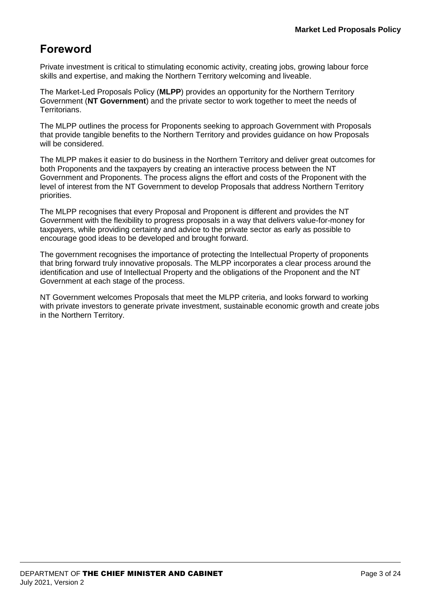# **Foreword**

Private investment is critical to stimulating economic activity, creating jobs, growing labour force skills and expertise, and making the Northern Territory welcoming and liveable.

The Market-Led Proposals Policy (**MLPP**) provides an opportunity for the Northern Territory Government (**NT Government**) and the private sector to work together to meet the needs of Territorians.

The MLPP outlines the process for Proponents seeking to approach Government with Proposals that provide tangible benefits to the Northern Territory and provides guidance on how Proposals will be considered.

The MLPP makes it easier to do business in the Northern Territory and deliver great outcomes for both Proponents and the taxpayers by creating an interactive process between the NT Government and Proponents. The process aligns the effort and costs of the Proponent with the level of interest from the NT Government to develop Proposals that address Northern Territory priorities.

The MLPP recognises that every Proposal and Proponent is different and provides the NT Government with the flexibility to progress proposals in a way that delivers value-for-money for taxpayers, while providing certainty and advice to the private sector as early as possible to encourage good ideas to be developed and brought forward.

The government recognises the importance of protecting the Intellectual Property of proponents that bring forward truly innovative proposals. The MLPP incorporates a clear process around the identification and use of Intellectual Property and the obligations of the Proponent and the NT Government at each stage of the process.

NT Government welcomes Proposals that meet the MLPP criteria, and looks forward to working with private investors to generate private investment, sustainable economic growth and create jobs in the Northern Territory.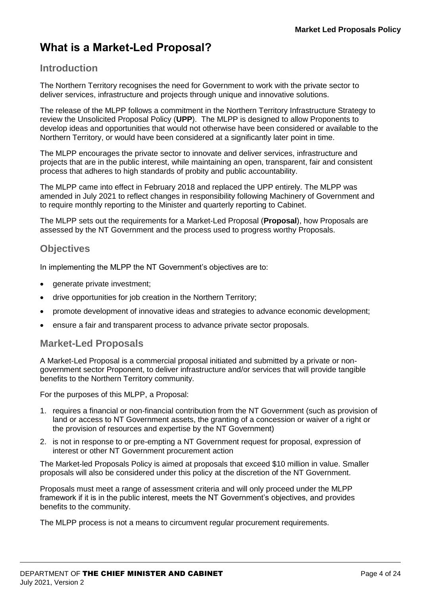# **What is a Market-Led Proposal?**

## **Introduction**

The Northern Territory recognises the need for Government to work with the private sector to deliver services, infrastructure and projects through unique and innovative solutions.

The release of the MLPP follows a commitment in the Northern Territory Infrastructure Strategy to review the Unsolicited Proposal Policy (**UPP**). The MLPP is designed to allow Proponents to develop ideas and opportunities that would not otherwise have been considered or available to the Northern Territory, or would have been considered at a significantly later point in time.

The MLPP encourages the private sector to innovate and deliver services, infrastructure and projects that are in the public interest, while maintaining an open, transparent, fair and consistent process that adheres to high standards of probity and public accountability.

The MLPP came into effect in February 2018 and replaced the UPP entirely. The MLPP was amended in July 2021 to reflect changes in responsibility following Machinery of Government and to require monthly reporting to the Minister and quarterly reporting to Cabinet.

The MLPP sets out the requirements for a Market-Led Proposal (**Proposal**), how Proposals are assessed by the NT Government and the process used to progress worthy Proposals.

## **Objectives**

In implementing the MLPP the NT Government's objectives are to:

- generate private investment;
- drive opportunities for job creation in the Northern Territory;
- promote development of innovative ideas and strategies to advance economic development;
- ensure a fair and transparent process to advance private sector proposals.

#### **Market-Led Proposals**

A Market-Led Proposal is a commercial proposal initiated and submitted by a private or nongovernment sector Proponent, to deliver infrastructure and/or services that will provide tangible benefits to the Northern Territory community.

For the purposes of this MLPP, a Proposal:

- 1. requires a financial or non-financial contribution from the NT Government (such as provision of land or access to NT Government assets, the granting of a concession or waiver of a right or the provision of resources and expertise by the NT Government)
- 2. is not in response to or pre-empting a NT Government request for proposal, expression of interest or other NT Government procurement action

The Market-led Proposals Policy is aimed at proposals that exceed \$10 million in value. Smaller proposals will also be considered under this policy at the discretion of the NT Government.

Proposals must meet a range of assessment criteria and will only proceed under the MLPP framework if it is in the public interest, meets the NT Government's objectives, and provides benefits to the community.

The MLPP process is not a means to circumvent regular procurement requirements.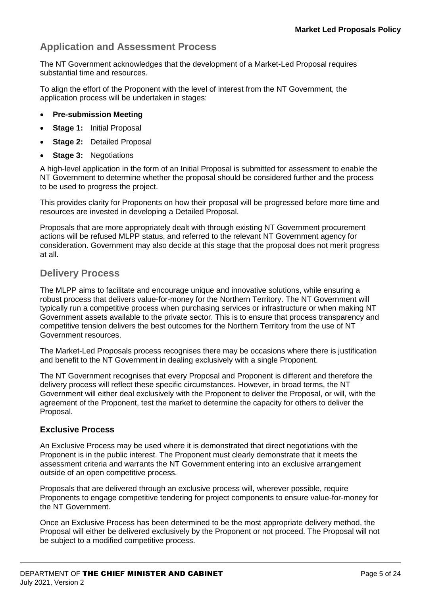## **Application and Assessment Process**

The NT Government acknowledges that the development of a Market-Led Proposal requires substantial time and resources.

To align the effort of the Proponent with the level of interest from the NT Government, the application process will be undertaken in stages:

- **Pre-submission Meeting**
- **Stage 1:** Initial Proposal
- **Stage 2:** Detailed Proposal
- **Stage 3:** Negotiations

A high-level application in the form of an Initial Proposal is submitted for assessment to enable the NT Government to determine whether the proposal should be considered further and the process to be used to progress the project.

This provides clarity for Proponents on how their proposal will be progressed before more time and resources are invested in developing a Detailed Proposal.

Proposals that are more appropriately dealt with through existing NT Government procurement actions will be refused MLPP status, and referred to the relevant NT Government agency for consideration. Government may also decide at this stage that the proposal does not merit progress at all.

#### **Delivery Process**

The MLPP aims to facilitate and encourage unique and innovative solutions, while ensuring a robust process that delivers value-for-money for the Northern Territory. The NT Government will typically run a competitive process when purchasing services or infrastructure or when making NT Government assets available to the private sector. This is to ensure that process transparency and competitive tension delivers the best outcomes for the Northern Territory from the use of NT Government resources.

The Market-Led Proposals process recognises there may be occasions where there is justification and benefit to the NT Government in dealing exclusively with a single Proponent.

The NT Government recognises that every Proposal and Proponent is different and therefore the delivery process will reflect these specific circumstances. However, in broad terms, the NT Government will either deal exclusively with the Proponent to deliver the Proposal, or will, with the agreement of the Proponent, test the market to determine the capacity for others to deliver the Proposal.

#### **Exclusive Process**

An Exclusive Process may be used where it is demonstrated that direct negotiations with the Proponent is in the public interest. The Proponent must clearly demonstrate that it meets the assessment criteria and warrants the NT Government entering into an exclusive arrangement outside of an open competitive process.

Proposals that are delivered through an exclusive process will, wherever possible, require Proponents to engage competitive tendering for project components to ensure value-for-money for the NT Government.

Once an Exclusive Process has been determined to be the most appropriate delivery method, the Proposal will either be delivered exclusively by the Proponent or not proceed. The Proposal will not be subject to a modified competitive process.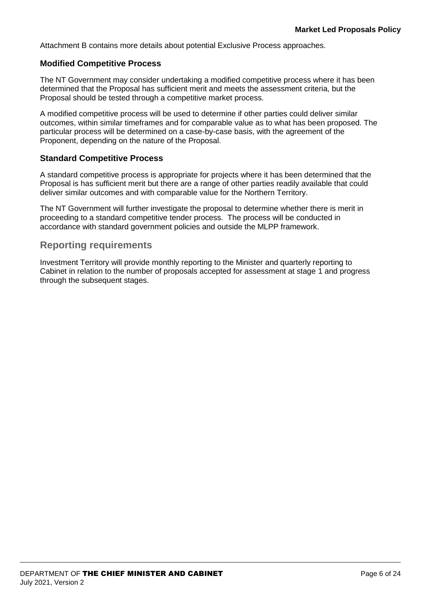Attachment B contains more details about potential Exclusive Process approaches.

#### **Modified Competitive Process**

The NT Government may consider undertaking a modified competitive process where it has been determined that the Proposal has sufficient merit and meets the assessment criteria, but the Proposal should be tested through a competitive market process.

A modified competitive process will be used to determine if other parties could deliver similar outcomes, within similar timeframes and for comparable value as to what has been proposed. The particular process will be determined on a case-by-case basis, with the agreement of the Proponent, depending on the nature of the Proposal.

#### **Standard Competitive Process**

A standard competitive process is appropriate for projects where it has been determined that the Proposal is has sufficient merit but there are a range of other parties readily available that could deliver similar outcomes and with comparable value for the Northern Territory.

The NT Government will further investigate the proposal to determine whether there is merit in proceeding to a standard competitive tender process. The process will be conducted in accordance with standard government policies and outside the MLPP framework.

#### **Reporting requirements**

Investment Territory will provide monthly reporting to the Minister and quarterly reporting to Cabinet in relation to the number of proposals accepted for assessment at stage 1 and progress through the subsequent stages.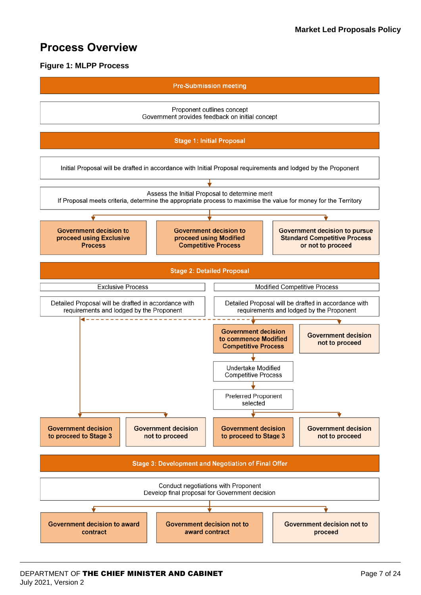# **Process Overview**

#### **Figure 1: MLPP Process**

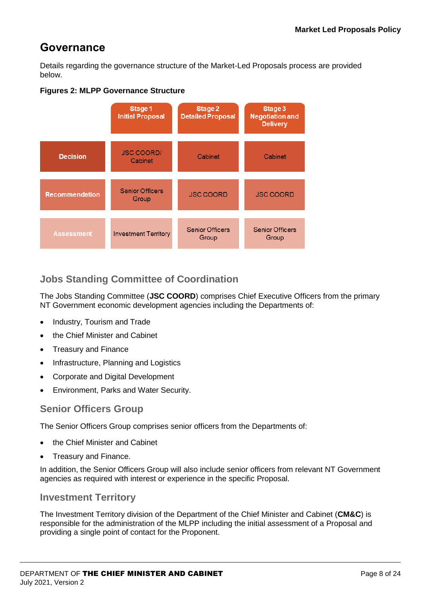# **Governance**

Details regarding the governance structure of the Market-Led Proposals process are provided below.



#### **Figures 2: MLPP Governance Structure**

# **Jobs Standing Committee of Coordination**

The Jobs Standing Committee (**JSC COORD**) comprises Chief Executive Officers from the primary NT Government economic development agencies including the Departments of:

- Industry, Tourism and Trade
- the Chief Minister and Cabinet
- Treasury and Finance
- Infrastructure, Planning and Logistics
- Corporate and Digital Development
- Environment, Parks and Water Security.

#### **Senior Officers Group**

The Senior Officers Group comprises senior officers from the Departments of:

- the Chief Minister and Cabinet
- Treasury and Finance.

In addition, the Senior Officers Group will also include senior officers from relevant NT Government agencies as required with interest or experience in the specific Proposal.

#### **Investment Territory**

The Investment Territory division of the Department of the Chief Minister and Cabinet (**CM&C**) is responsible for the administration of the MLPP including the initial assessment of a Proposal and providing a single point of contact for the Proponent.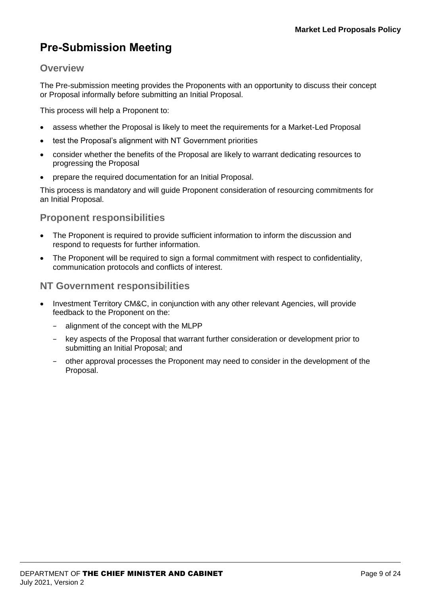# **Pre-Submission Meeting**

## **Overview**

The Pre-submission meeting provides the Proponents with an opportunity to discuss their concept or Proposal informally before submitting an Initial Proposal.

This process will help a Proponent to:

- assess whether the Proposal is likely to meet the requirements for a Market-Led Proposal
- test the Proposal's alignment with NT Government priorities
- consider whether the benefits of the Proposal are likely to warrant dedicating resources to progressing the Proposal
- prepare the required documentation for an Initial Proposal.

This process is mandatory and will guide Proponent consideration of resourcing commitments for an Initial Proposal.

## **Proponent responsibilities**

- The Proponent is required to provide sufficient information to inform the discussion and respond to requests for further information.
- The Proponent will be required to sign a formal commitment with respect to confidentiality, communication protocols and conflicts of interest.

#### **NT Government responsibilities**

- Investment Territory CM&C, in conjunction with any other relevant Agencies, will provide feedback to the Proponent on the:
	- − alignment of the concept with the MLPP
	- − key aspects of the Proposal that warrant further consideration or development prior to submitting an Initial Proposal; and
	- − other approval processes the Proponent may need to consider in the development of the Proposal.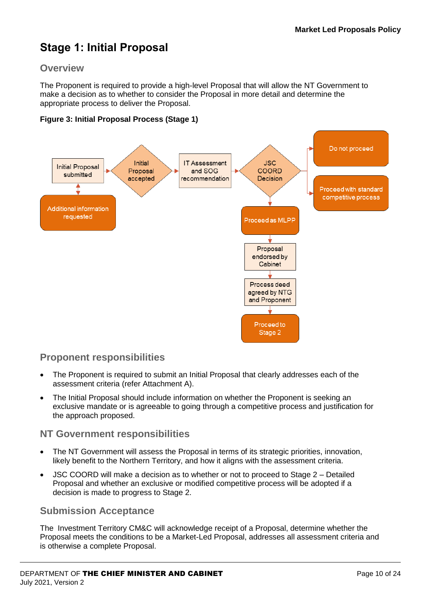# **Stage 1: Initial Proposal**

## **Overview**

The Proponent is required to provide a high-level Proposal that will allow the NT Government to make a decision as to whether to consider the Proposal in more detail and determine the appropriate process to deliver the Proposal.

#### **Figure 3: Initial Proposal Process (Stage 1)**



## **Proponent responsibilities**

- The Proponent is required to submit an Initial Proposal that clearly addresses each of the assessment criteria (refer Attachment A).
- The Initial Proposal should include information on whether the Proponent is seeking an exclusive mandate or is agreeable to going through a competitive process and justification for the approach proposed.

#### **NT Government responsibilities**

- The NT Government will assess the Proposal in terms of its strategic priorities, innovation, likely benefit to the Northern Territory, and how it aligns with the assessment criteria.
- JSC COORD will make a decision as to whether or not to proceed to Stage 2 Detailed Proposal and whether an exclusive or modified competitive process will be adopted if a decision is made to progress to Stage 2.

## **Submission Acceptance**

The Investment Territory CM&C will acknowledge receipt of a Proposal, determine whether the Proposal meets the conditions to be a Market-Led Proposal, addresses all assessment criteria and is otherwise a complete Proposal.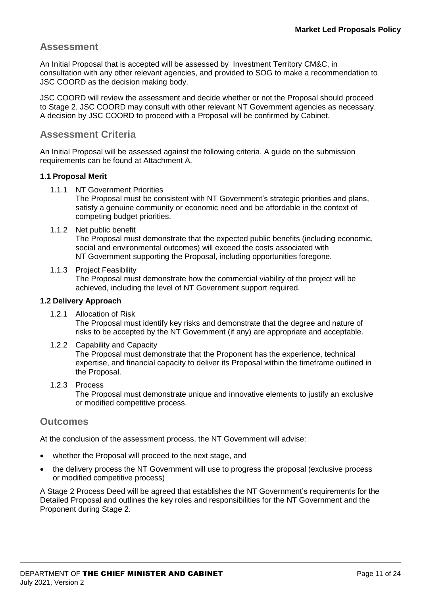#### **Assessment**

An Initial Proposal that is accepted will be assessed by Investment Territory CM&C, in consultation with any other relevant agencies, and provided to SOG to make a recommendation to JSC COORD as the decision making body.

JSC COORD will review the assessment and decide whether or not the Proposal should proceed to Stage 2. JSC COORD may consult with other relevant NT Government agencies as necessary. A decision by JSC COORD to proceed with a Proposal will be confirmed by Cabinet.

#### **Assessment Criteria**

An Initial Proposal will be assessed against the following criteria. A guide on the submission requirements can be found at Attachment A.

#### **1.1 Proposal Merit**

1.1.1 NT Government Priorities

The Proposal must be consistent with NT Government's strategic priorities and plans, satisfy a genuine community or economic need and be affordable in the context of competing budget priorities.

#### 1.1.2 Net public benefit

The Proposal must demonstrate that the expected public benefits (including economic, social and environmental outcomes) will exceed the costs associated with NT Government supporting the Proposal, including opportunities foregone.

#### 1.1.3 Project Feasibility

The Proposal must demonstrate how the commercial viability of the project will be achieved, including the level of NT Government support required.

#### **1.2 Delivery Approach**

- 1.2.1 Allocation of Risk The Proposal must identify key risks and demonstrate that the degree and nature of risks to be accepted by the NT Government (if any) are appropriate and acceptable.
- 1.2.2 Capability and Capacity

The Proposal must demonstrate that the Proponent has the experience, technical expertise, and financial capacity to deliver its Proposal within the timeframe outlined in the Proposal.

#### 1.2.3 Process

The Proposal must demonstrate unique and innovative elements to justify an exclusive or modified competitive process.

#### **Outcomes**

At the conclusion of the assessment process, the NT Government will advise:

- whether the Proposal will proceed to the next stage, and
- the delivery process the NT Government will use to progress the proposal (exclusive process or modified competitive process)

A Stage 2 Process Deed will be agreed that establishes the NT Government's requirements for the Detailed Proposal and outlines the key roles and responsibilities for the NT Government and the Proponent during Stage 2.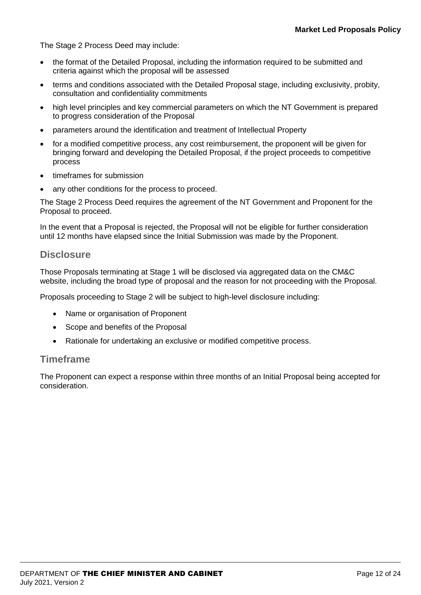The Stage 2 Process Deed may include:

- the format of the Detailed Proposal, including the information required to be submitted and criteria against which the proposal will be assessed
- terms and conditions associated with the Detailed Proposal stage, including exclusivity, probity, consultation and confidentiality commitments
- high level principles and key commercial parameters on which the NT Government is prepared to progress consideration of the Proposal
- parameters around the identification and treatment of Intellectual Property
- for a modified competitive process, any cost reimbursement, the proponent will be given for bringing forward and developing the Detailed Proposal, if the project proceeds to competitive process
- timeframes for submission
- any other conditions for the process to proceed.

The Stage 2 Process Deed requires the agreement of the NT Government and Proponent for the Proposal to proceed.

In the event that a Proposal is rejected, the Proposal will not be eligible for further consideration until 12 months have elapsed since the Initial Submission was made by the Proponent.

#### **Disclosure**

Those Proposals terminating at Stage 1 will be disclosed via aggregated data on the CM&C website, including the broad type of proposal and the reason for not proceeding with the Proposal.

Proposals proceeding to Stage 2 will be subject to high-level disclosure including:

- Name or organisation of Proponent
- Scope and benefits of the Proposal
- Rationale for undertaking an exclusive or modified competitive process.

#### **Timeframe**

The Proponent can expect a response within three months of an Initial Proposal being accepted for consideration.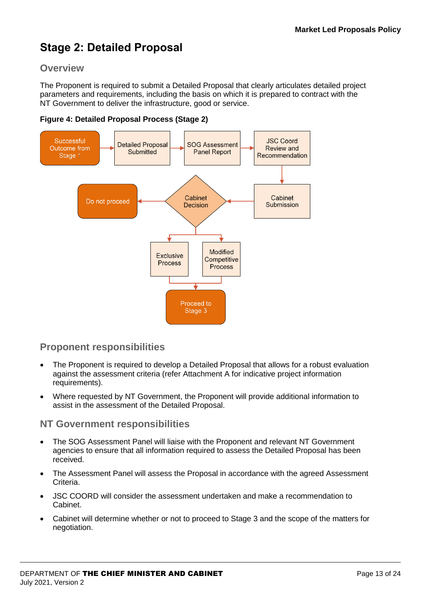# **Stage 2: Detailed Proposal**

## **Overview**

The Proponent is required to submit a Detailed Proposal that clearly articulates detailed project parameters and requirements, including the basis on which it is prepared to contract with the NT Government to deliver the infrastructure, good or service.





## **Proponent responsibilities**

- The Proponent is required to develop a Detailed Proposal that allows for a robust evaluation against the assessment criteria (refer Attachment A for indicative project information requirements).
- Where requested by NT Government, the Proponent will provide additional information to assist in the assessment of the Detailed Proposal.

#### **NT Government responsibilities**

- The SOG Assessment Panel will liaise with the Proponent and relevant NT Government agencies to ensure that all information required to assess the Detailed Proposal has been received.
- The Assessment Panel will assess the Proposal in accordance with the agreed Assessment Criteria.
- JSC COORD will consider the assessment undertaken and make a recommendation to Cabinet.
- Cabinet will determine whether or not to proceed to Stage 3 and the scope of the matters for negotiation.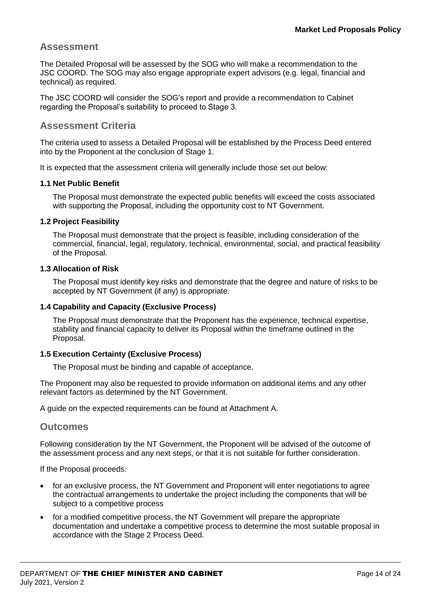#### **Assessment**

The Detailed Proposal will be assessed by the SOG who will make a recommendation to the JSC COORD. The SOG may also engage appropriate expert advisors (e.g. legal, financial and technical) as required.

The JSC COORD will consider the SOG's report and provide a recommendation to Cabinet regarding the Proposal's suitability to proceed to Stage 3.

#### **Assessment Criteria**

The criteria used to assess a Detailed Proposal will be established by the Process Deed entered into by the Proponent at the conclusion of Stage 1.

It is expected that the assessment criteria will generally include those set out below:

#### **1.1 Net Public Benefit**

The Proposal must demonstrate the expected public benefits will exceed the costs associated with supporting the Proposal, including the opportunity cost to NT Government.

#### **1.2 Project Feasibility**

The Proposal must demonstrate that the project is feasible, including consideration of the commercial, financial, legal, regulatory, technical, environmental, social, and practical feasibility of the Proposal.

#### **1.3 Allocation of Risk**

The Proposal must identify key risks and demonstrate that the degree and nature of risks to be accepted by NT Government (if any) is appropriate.

#### **1.4 Capability and Capacity (Exclusive Process)**

The Proposal must demonstrate that the Proponent has the experience, technical expertise, stability and financial capacity to deliver its Proposal within the timeframe outlined in the Proposal.

#### **1.5 Execution Certainty (Exclusive Process)**

The Proposal must be binding and capable of acceptance.

The Proponent may also be requested to provide information on additional items and any other relevant factors as determined by the NT Government.

A guide on the expected requirements can be found at Attachment A.

#### **Outcomes**

Following consideration by the NT Government, the Proponent will be advised of the outcome of the assessment process and any next steps, or that it is not suitable for further consideration.

If the Proposal proceeds:

- for an exclusive process, the NT Government and Proponent will enter negotiations to agree the contractual arrangements to undertake the project including the components that will be subject to a competitive process
- for a modified competitive process, the NT Government will prepare the appropriate documentation and undertake a competitive process to determine the most suitable proposal in accordance with the Stage 2 Process Deed.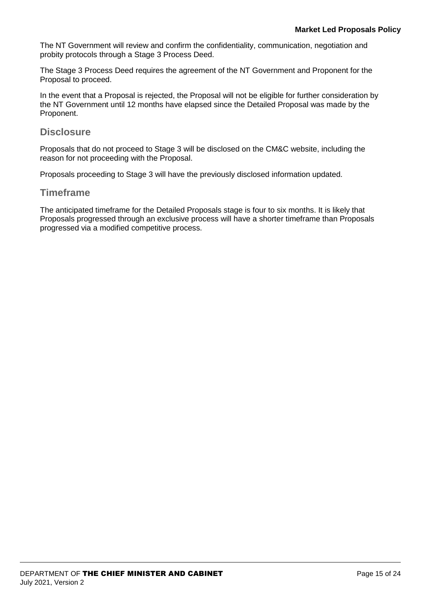The NT Government will review and confirm the confidentiality, communication, negotiation and probity protocols through a Stage 3 Process Deed.

The Stage 3 Process Deed requires the agreement of the NT Government and Proponent for the Proposal to proceed.

In the event that a Proposal is rejected, the Proposal will not be eligible for further consideration by the NT Government until 12 months have elapsed since the Detailed Proposal was made by the Proponent.

#### **Disclosure**

Proposals that do not proceed to Stage 3 will be disclosed on the CM&C website, including the reason for not proceeding with the Proposal.

Proposals proceeding to Stage 3 will have the previously disclosed information updated.

#### **Timeframe**

The anticipated timeframe for the Detailed Proposals stage is four to six months. It is likely that Proposals progressed through an exclusive process will have a shorter timeframe than Proposals progressed via a modified competitive process.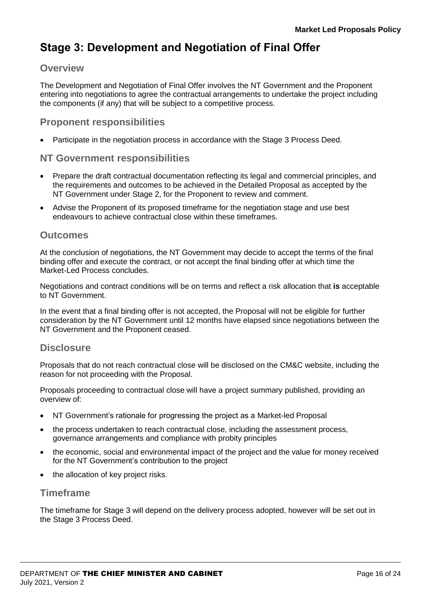# **Stage 3: Development and Negotiation of Final Offer**

#### **Overview**

The Development and Negotiation of Final Offer involves the NT Government and the Proponent entering into negotiations to agree the contractual arrangements to undertake the project including the components (if any) that will be subject to a competitive process.

#### **Proponent responsibilities**

Participate in the negotiation process in accordance with the Stage 3 Process Deed.

#### **NT Government responsibilities**

- Prepare the draft contractual documentation reflecting its legal and commercial principles, and the requirements and outcomes to be achieved in the Detailed Proposal as accepted by the NT Government under Stage 2, for the Proponent to review and comment.
- Advise the Proponent of its proposed timeframe for the negotiation stage and use best endeavours to achieve contractual close within these timeframes.

#### **Outcomes**

At the conclusion of negotiations, the NT Government may decide to accept the terms of the final binding offer and execute the contract, or not accept the final binding offer at which time the Market-Led Process concludes.

Negotiations and contract conditions will be on terms and reflect a risk allocation that **is** acceptable to NT Government.

In the event that a final binding offer is not accepted, the Proposal will not be eligible for further consideration by the NT Government until 12 months have elapsed since negotiations between the NT Government and the Proponent ceased.

#### **Disclosure**

Proposals that do not reach contractual close will be disclosed on the CM&C website, including the reason for not proceeding with the Proposal.

Proposals proceeding to contractual close will have a project summary published, providing an overview of:

- NT Government's rationale for progressing the project as a Market-led Proposal
- the process undertaken to reach contractual close, including the assessment process, governance arrangements and compliance with probity principles
- the economic, social and environmental impact of the project and the value for money received for the NT Government's contribution to the project
- the allocation of key project risks.

#### **Timeframe**

The timeframe for Stage 3 will depend on the delivery process adopted, however will be set out in the Stage 3 Process Deed.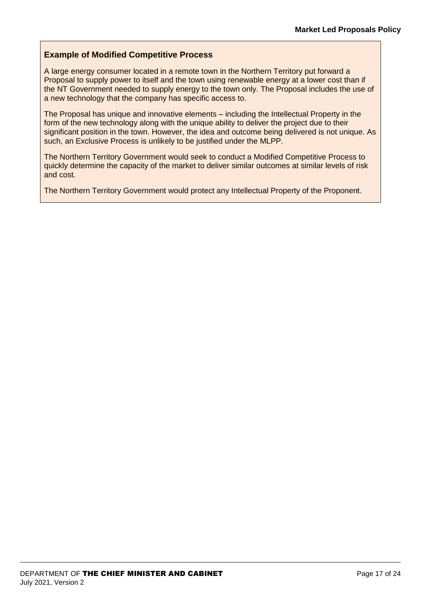#### **Example of Modified Competitive Process**

A large energy consumer located in a remote town in the Northern Territory put forward a Proposal to supply power to itself and the town using renewable energy at a lower cost than if the NT Government needed to supply energy to the town only. The Proposal includes the use of a new technology that the company has specific access to.

The Proposal has unique and innovative elements – including the Intellectual Property in the form of the new technology along with the unique ability to deliver the project due to their significant position in the town. However, the idea and outcome being delivered is not unique. As such, an Exclusive Process is unlikely to be justified under the MLPP.

The Northern Territory Government would seek to conduct a Modified Competitive Process to quickly determine the capacity of the market to deliver similar outcomes at similar levels of risk and cost.

The Northern Territory Government would protect any Intellectual Property of the Proponent.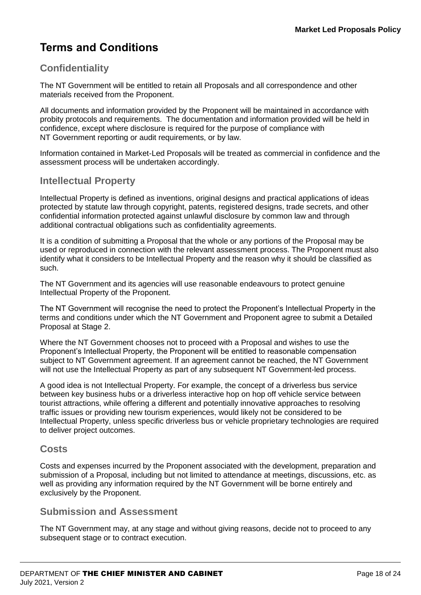# **Terms and Conditions**

## **Confidentiality**

The NT Government will be entitled to retain all Proposals and all correspondence and other materials received from the Proponent.

All documents and information provided by the Proponent will be maintained in accordance with probity protocols and requirements. The documentation and information provided will be held in confidence, except where disclosure is required for the purpose of compliance with NT Government reporting or audit requirements, or by law.

Information contained in Market-Led Proposals will be treated as commercial in confidence and the assessment process will be undertaken accordingly.

## **Intellectual Property**

Intellectual Property is defined as inventions, original designs and practical applications of ideas protected by statute law through copyright, patents, registered designs, trade secrets, and other confidential information protected against unlawful disclosure by common law and through additional contractual obligations such as confidentiality agreements.

It is a condition of submitting a Proposal that the whole or any portions of the Proposal may be used or reproduced in connection with the relevant assessment process. The Proponent must also identify what it considers to be Intellectual Property and the reason why it should be classified as such.

The NT Government and its agencies will use reasonable endeavours to protect genuine Intellectual Property of the Proponent.

The NT Government will recognise the need to protect the Proponent's Intellectual Property in the terms and conditions under which the NT Government and Proponent agree to submit a Detailed Proposal at Stage 2.

Where the NT Government chooses not to proceed with a Proposal and wishes to use the Proponent's Intellectual Property, the Proponent will be entitled to reasonable compensation subject to NT Government agreement. If an agreement cannot be reached, the NT Government will not use the Intellectual Property as part of any subsequent NT Government-led process.

A good idea is not Intellectual Property. For example, the concept of a driverless bus service between key business hubs or a driverless interactive hop on hop off vehicle service between tourist attractions, while offering a different and potentially innovative approaches to resolving traffic issues or providing new tourism experiences, would likely not be considered to be Intellectual Property, unless specific driverless bus or vehicle proprietary technologies are required to deliver project outcomes.

#### **Costs**

Costs and expenses incurred by the Proponent associated with the development, preparation and submission of a Proposal, including but not limited to attendance at meetings, discussions, etc. as well as providing any information required by the NT Government will be borne entirely and exclusively by the Proponent.

#### **Submission and Assessment**

The NT Government may, at any stage and without giving reasons, decide not to proceed to any subsequent stage or to contract execution.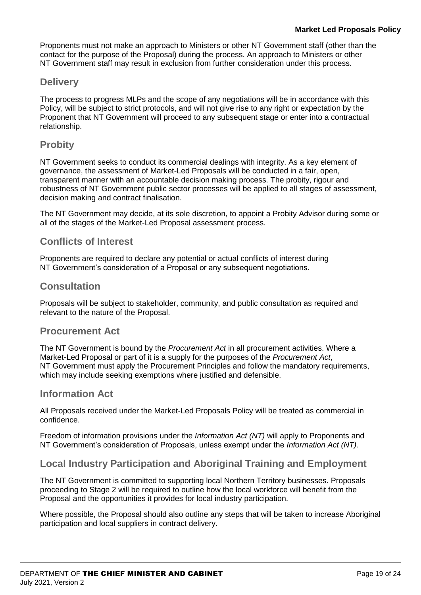Proponents must not make an approach to Ministers or other NT Government staff (other than the contact for the purpose of the Proposal) during the process. An approach to Ministers or other NT Government staff may result in exclusion from further consideration under this process.

## **Delivery**

The process to progress MLPs and the scope of any negotiations will be in accordance with this Policy, will be subject to strict protocols, and will not give rise to any right or expectation by the Proponent that NT Government will proceed to any subsequent stage or enter into a contractual relationship.

## **Probity**

NT Government seeks to conduct its commercial dealings with integrity. As a key element of governance, the assessment of Market-Led Proposals will be conducted in a fair, open, transparent manner with an accountable decision making process. The probity, rigour and robustness of NT Government public sector processes will be applied to all stages of assessment, decision making and contract finalisation.

The NT Government may decide, at its sole discretion, to appoint a Probity Advisor during some or all of the stages of the Market-Led Proposal assessment process.

## **Conflicts of Interest**

Proponents are required to declare any potential or actual conflicts of interest during NT Government's consideration of a Proposal or any subsequent negotiations.

#### **Consultation**

Proposals will be subject to stakeholder, community, and public consultation as required and relevant to the nature of the Proposal.

#### **Procurement Act**

The NT Government is bound by the *Procurement Act* in all procurement activities. Where a Market-Led Proposal or part of it is a supply for the purposes of the *Procurement Act*, NT Government must apply the Procurement Principles and follow the mandatory requirements, which may include seeking exemptions where justified and defensible.

#### **Information Act**

All Proposals received under the Market-Led Proposals Policy will be treated as commercial in confidence.

Freedom of information provisions under the *Information Act (NT)* will apply to Proponents and NT Government's consideration of Proposals, unless exempt under the *Information Act (NT)*.

## **Local Industry Participation and Aboriginal Training and Employment**

The NT Government is committed to supporting local Northern Territory businesses. Proposals proceeding to Stage 2 will be required to outline how the local workforce will benefit from the Proposal and the opportunities it provides for local industry participation.

Where possible, the Proposal should also outline any steps that will be taken to increase Aboriginal participation and local suppliers in contract delivery.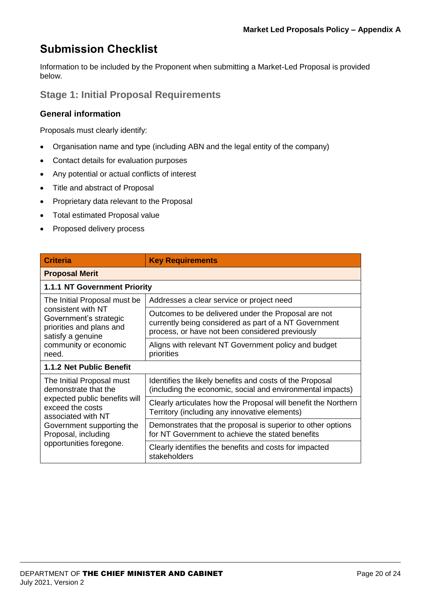# **Submission Checklist**

Information to be included by the Proponent when submitting a Market-Led Proposal is provided below.

**Stage 1: Initial Proposal Requirements**

#### **General information**

Proposals must clearly identify:

- Organisation name and type (including ABN and the legal entity of the company)
- Contact details for evaluation purposes
- Any potential or actual conflicts of interest
- Title and abstract of Proposal
- Proprietary data relevant to the Proposal
- Total estimated Proposal value
- Proposed delivery process

| <b>Criteria</b>                                                                                                                                                 | <b>Key Requirements</b>                                                                                                                                         |  |
|-----------------------------------------------------------------------------------------------------------------------------------------------------------------|-----------------------------------------------------------------------------------------------------------------------------------------------------------------|--|
| <b>Proposal Merit</b>                                                                                                                                           |                                                                                                                                                                 |  |
| <b>1.1.1 NT Government Priority</b>                                                                                                                             |                                                                                                                                                                 |  |
| The Initial Proposal must be<br>consistent with NT<br>Government's strategic<br>priorities and plans and<br>satisfy a genuine<br>community or economic<br>need. | Addresses a clear service or project need                                                                                                                       |  |
|                                                                                                                                                                 | Outcomes to be delivered under the Proposal are not<br>currently being considered as part of a NT Government<br>process, or have not been considered previously |  |
|                                                                                                                                                                 | Aligns with relevant NT Government policy and budget<br>priorities                                                                                              |  |
| 1.1.2 Net Public Benefit                                                                                                                                        |                                                                                                                                                                 |  |
| The Initial Proposal must<br>demonstrate that the                                                                                                               | Identifies the likely benefits and costs of the Proposal<br>(including the economic, social and environmental impacts)                                          |  |
| expected public benefits will<br>exceed the costs<br>associated with NT                                                                                         | Clearly articulates how the Proposal will benefit the Northern<br>Territory (including any innovative elements)                                                 |  |
| Government supporting the<br>Proposal, including                                                                                                                | Demonstrates that the proposal is superior to other options<br>for NT Government to achieve the stated benefits                                                 |  |
| opportunities foregone.                                                                                                                                         | Clearly identifies the benefits and costs for impacted<br>stakeholders                                                                                          |  |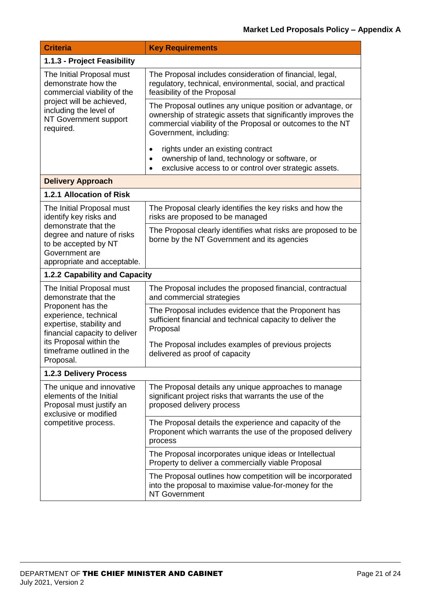| <b>Criteria</b>                                                                                                                                                                                                                   | <b>Key Requirements</b>                                                                                                                                                                                             |
|-----------------------------------------------------------------------------------------------------------------------------------------------------------------------------------------------------------------------------------|---------------------------------------------------------------------------------------------------------------------------------------------------------------------------------------------------------------------|
| 1.1.3 - Project Feasibility                                                                                                                                                                                                       |                                                                                                                                                                                                                     |
| The Initial Proposal must<br>demonstrate how the<br>commercial viability of the<br>project will be achieved,<br>including the level of<br>NT Government support<br>required.                                                      | The Proposal includes consideration of financial, legal,<br>regulatory, technical, environmental, social, and practical<br>feasibility of the Proposal                                                              |
|                                                                                                                                                                                                                                   | The Proposal outlines any unique position or advantage, or<br>ownership of strategic assets that significantly improves the<br>commercial viability of the Proposal or outcomes to the NT<br>Government, including: |
|                                                                                                                                                                                                                                   | rights under an existing contract<br>$\bullet$<br>ownership of land, technology or software, or<br>$\bullet$<br>exclusive access to or control over strategic assets.                                               |
| <b>Delivery Approach</b>                                                                                                                                                                                                          |                                                                                                                                                                                                                     |
| 1.2.1 Allocation of Risk                                                                                                                                                                                                          |                                                                                                                                                                                                                     |
| The Initial Proposal must<br>identify key risks and<br>demonstrate that the<br>degree and nature of risks<br>to be accepted by NT<br>Government are<br>appropriate and acceptable.                                                | The Proposal clearly identifies the key risks and how the<br>risks are proposed to be managed                                                                                                                       |
|                                                                                                                                                                                                                                   | The Proposal clearly identifies what risks are proposed to be<br>borne by the NT Government and its agencies                                                                                                        |
| 1.2.2 Capability and Capacity                                                                                                                                                                                                     |                                                                                                                                                                                                                     |
| The Initial Proposal must<br>demonstrate that the<br>Proponent has the<br>experience, technical<br>expertise, stability and<br>financial capacity to deliver<br>its Proposal within the<br>timeframe outlined in the<br>Proposal. | The Proposal includes the proposed financial, contractual<br>and commercial strategies                                                                                                                              |
|                                                                                                                                                                                                                                   | The Proposal includes evidence that the Proponent has<br>sufficient financial and technical capacity to deliver the<br>Proposal                                                                                     |
|                                                                                                                                                                                                                                   | The Proposal includes examples of previous projects<br>delivered as proof of capacity                                                                                                                               |
| <b>1.2.3 Delivery Process</b>                                                                                                                                                                                                     |                                                                                                                                                                                                                     |
| The unique and innovative<br>elements of the Initial<br>Proposal must justify an<br>exclusive or modified<br>competitive process.                                                                                                 | The Proposal details any unique approaches to manage<br>significant project risks that warrants the use of the<br>proposed delivery process                                                                         |
|                                                                                                                                                                                                                                   | The Proposal details the experience and capacity of the<br>Proponent which warrants the use of the proposed delivery<br>process                                                                                     |
|                                                                                                                                                                                                                                   | The Proposal incorporates unique ideas or Intellectual<br>Property to deliver a commercially viable Proposal                                                                                                        |
|                                                                                                                                                                                                                                   | The Proposal outlines how competition will be incorporated<br>into the proposal to maximise value-for-money for the<br><b>NT Government</b>                                                                         |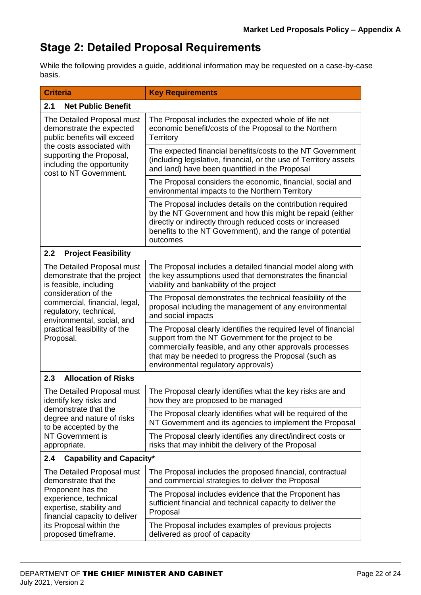# **Stage 2: Detailed Proposal Requirements**

While the following provides a guide, additional information may be requested on a case-by-case basis.

| <b>Criteria</b>                                                                                                                                                                                       | <b>Key Requirements</b>                                                                                                                                                                                                                                                            |  |
|-------------------------------------------------------------------------------------------------------------------------------------------------------------------------------------------------------|------------------------------------------------------------------------------------------------------------------------------------------------------------------------------------------------------------------------------------------------------------------------------------|--|
| <b>Net Public Benefit</b><br>2.1                                                                                                                                                                      |                                                                                                                                                                                                                                                                                    |  |
| The Detailed Proposal must<br>demonstrate the expected<br>public benefits will exceed<br>the costs associated with<br>supporting the Proposal,<br>including the opportunity<br>cost to NT Government. | The Proposal includes the expected whole of life net<br>economic benefit/costs of the Proposal to the Northern<br><b>Territory</b>                                                                                                                                                 |  |
|                                                                                                                                                                                                       | The expected financial benefits/costs to the NT Government<br>(including legislative, financial, or the use of Territory assets<br>and land) have been quantified in the Proposal                                                                                                  |  |
|                                                                                                                                                                                                       | The Proposal considers the economic, financial, social and<br>environmental impacts to the Northern Territory                                                                                                                                                                      |  |
|                                                                                                                                                                                                       | The Proposal includes details on the contribution required<br>by the NT Government and how this might be repaid (either<br>directly or indirectly through reduced costs or increased<br>benefits to the NT Government), and the range of potential<br>outcomes                     |  |
| 2.2<br><b>Project Feasibility</b>                                                                                                                                                                     |                                                                                                                                                                                                                                                                                    |  |
| The Detailed Proposal must<br>demonstrate that the project<br>is feasible, including                                                                                                                  | The Proposal includes a detailed financial model along with<br>the key assumptions used that demonstrates the financial<br>viability and bankability of the project                                                                                                                |  |
| consideration of the<br>commercial, financial, legal,<br>regulatory, technical,<br>environmental, social, and<br>practical feasibility of the<br>Proposal.                                            | The Proposal demonstrates the technical feasibility of the<br>proposal including the management of any environmental<br>and social impacts                                                                                                                                         |  |
|                                                                                                                                                                                                       | The Proposal clearly identifies the required level of financial<br>support from the NT Government for the project to be<br>commercially feasible, and any other approvals processes<br>that may be needed to progress the Proposal (such as<br>environmental regulatory approvals) |  |
| 2.3<br><b>Allocation of Risks</b>                                                                                                                                                                     |                                                                                                                                                                                                                                                                                    |  |
| The Detailed Proposal must<br>identify key risks and                                                                                                                                                  | The Proposal clearly identifies what the key risks are and<br>how they are proposed to be managed                                                                                                                                                                                  |  |
| demonstrate that the<br>degree and nature of risks<br>to be accepted by the<br>NT Government is<br>appropriate.                                                                                       | The Proposal clearly identifies what will be required of the<br>NT Government and its agencies to implement the Proposal                                                                                                                                                           |  |
|                                                                                                                                                                                                       | The Proposal clearly identifies any direct/indirect costs or<br>risks that may inhibit the delivery of the Proposal                                                                                                                                                                |  |
| <b>Capability and Capacity*</b><br>2.4                                                                                                                                                                |                                                                                                                                                                                                                                                                                    |  |
| The Detailed Proposal must<br>demonstrate that the                                                                                                                                                    | The Proposal includes the proposed financial, contractual<br>and commercial strategies to deliver the Proposal                                                                                                                                                                     |  |
| Proponent has the<br>experience, technical<br>expertise, stability and<br>financial capacity to deliver<br>its Proposal within the<br>proposed timeframe.                                             | The Proposal includes evidence that the Proponent has<br>sufficient financial and technical capacity to deliver the<br>Proposal                                                                                                                                                    |  |
|                                                                                                                                                                                                       | The Proposal includes examples of previous projects<br>delivered as proof of capacity                                                                                                                                                                                              |  |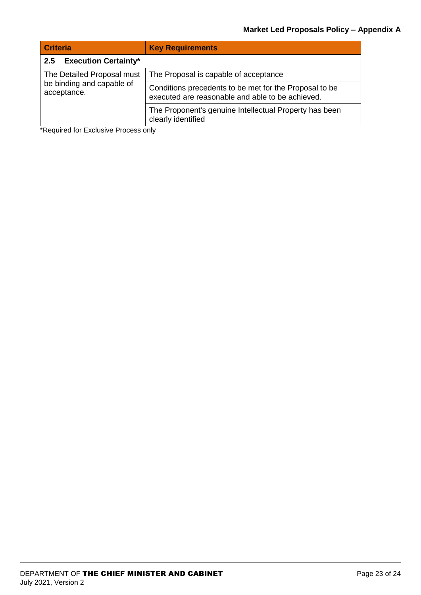| <b>Criteria</b>                                                        | <b>Key Requirements</b>                                                                                    |
|------------------------------------------------------------------------|------------------------------------------------------------------------------------------------------------|
| <b>Execution Certainty*</b><br>2.5                                     |                                                                                                            |
| The Detailed Proposal must<br>be binding and capable of<br>acceptance. | The Proposal is capable of acceptance                                                                      |
|                                                                        | Conditions precedents to be met for the Proposal to be<br>executed are reasonable and able to be achieved. |
|                                                                        | The Proponent's genuine Intellectual Property has been<br>clearly identified                               |

\*Required for Exclusive Process only